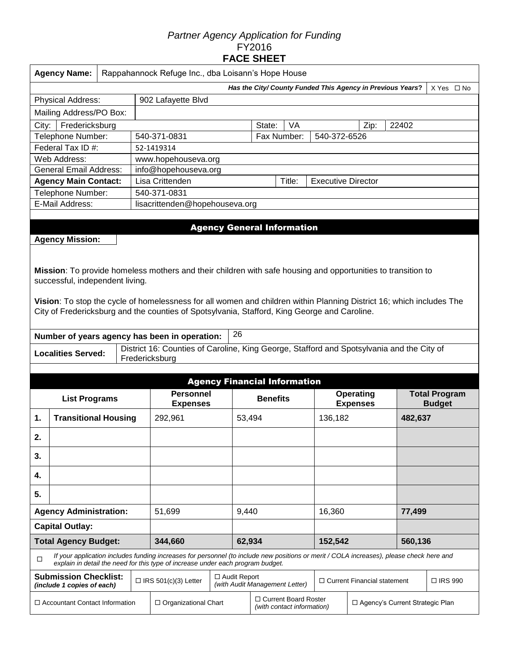#### *Partner Agency Application for Funding*  FY2016 **FACE SHEET**

|                                       | <b>Agency Name:</b><br>Rappahannock Refuge Inc., dba Loisann's Hope House |  |         |                                                                                                                                                                                                                             |                                                                                           |                 |                                |                           |                                     |         |                                       |  |  |
|---------------------------------------|---------------------------------------------------------------------------|--|---------|-----------------------------------------------------------------------------------------------------------------------------------------------------------------------------------------------------------------------------|-------------------------------------------------------------------------------------------|-----------------|--------------------------------|---------------------------|-------------------------------------|---------|---------------------------------------|--|--|
|                                       | Has the City/ County Funded This Agency in Previous Years?<br>X Yes □ No  |  |         |                                                                                                                                                                                                                             |                                                                                           |                 |                                |                           |                                     |         |                                       |  |  |
|                                       | <b>Physical Address:</b>                                                  |  |         | 902 Lafayette Blvd                                                                                                                                                                                                          |                                                                                           |                 |                                |                           |                                     |         |                                       |  |  |
|                                       | Mailing Address/PO Box:                                                   |  |         |                                                                                                                                                                                                                             |                                                                                           |                 |                                |                           |                                     |         |                                       |  |  |
| City:                                 | Fredericksburg                                                            |  |         |                                                                                                                                                                                                                             |                                                                                           | State:          | VA                             |                           | Zip:                                | 22402   |                                       |  |  |
|                                       | Telephone Number:                                                         |  |         | 540-371-0831                                                                                                                                                                                                                |                                                                                           |                 | Fax Number:                    | 540-372-6526              |                                     |         |                                       |  |  |
|                                       | Federal Tax ID #:                                                         |  |         | 52-1419314                                                                                                                                                                                                                  |                                                                                           |                 |                                |                           |                                     |         |                                       |  |  |
|                                       | Web Address:                                                              |  |         | www.hopehouseva.org                                                                                                                                                                                                         |                                                                                           |                 |                                |                           |                                     |         |                                       |  |  |
|                                       | <b>General Email Address:</b>                                             |  |         |                                                                                                                                                                                                                             | info@hopehouseva.org                                                                      |                 |                                |                           |                                     |         |                                       |  |  |
|                                       | <b>Agency Main Contact:</b>                                               |  |         | Lisa Crittenden                                                                                                                                                                                                             |                                                                                           |                 | Title:                         | <b>Executive Director</b> |                                     |         |                                       |  |  |
|                                       | Telephone Number:                                                         |  |         | 540-371-0831                                                                                                                                                                                                                |                                                                                           |                 |                                |                           |                                     |         |                                       |  |  |
|                                       | E-Mail Address:                                                           |  |         | lisacrittenden@hopehouseva.org                                                                                                                                                                                              |                                                                                           |                 |                                |                           |                                     |         |                                       |  |  |
|                                       |                                                                           |  |         |                                                                                                                                                                                                                             |                                                                                           |                 |                                |                           |                                     |         |                                       |  |  |
|                                       |                                                                           |  |         |                                                                                                                                                                                                                             | <b>Agency General Information</b>                                                         |                 |                                |                           |                                     |         |                                       |  |  |
|                                       | <b>Agency Mission:</b>                                                    |  |         |                                                                                                                                                                                                                             |                                                                                           |                 |                                |                           |                                     |         |                                       |  |  |
|                                       |                                                                           |  |         |                                                                                                                                                                                                                             |                                                                                           |                 |                                |                           |                                     |         |                                       |  |  |
|                                       | successful, independent living.                                           |  |         | Mission: To provide homeless mothers and their children with safe housing and opportunities to transition to                                                                                                                |                                                                                           |                 |                                |                           |                                     |         |                                       |  |  |
|                                       |                                                                           |  |         | Vision: To stop the cycle of homelessness for all women and children within Planning District 16; which includes The<br>City of Fredericksburg and the counties of Spotsylvania, Stafford, King George and Caroline.        |                                                                                           |                 |                                |                           |                                     |         |                                       |  |  |
|                                       |                                                                           |  |         | Number of years agency has been in operation:                                                                                                                                                                               | 26                                                                                        |                 |                                |                           |                                     |         |                                       |  |  |
|                                       | <b>Localities Served:</b>                                                 |  |         | District 16: Counties of Caroline, King George, Stafford and Spotsylvania and the City of<br>Fredericksburg                                                                                                                 |                                                                                           |                 |                                |                           |                                     |         |                                       |  |  |
|                                       |                                                                           |  |         |                                                                                                                                                                                                                             |                                                                                           |                 |                                |                           |                                     |         |                                       |  |  |
|                                       |                                                                           |  |         |                                                                                                                                                                                                                             | <b>Agency Financial Information</b>                                                       |                 |                                |                           |                                     |         |                                       |  |  |
|                                       | <b>List Programs</b>                                                      |  |         | <b>Personnel</b><br><b>Expenses</b>                                                                                                                                                                                         |                                                                                           | <b>Benefits</b> |                                |                           | <b>Operating</b><br><b>Expenses</b> |         | <b>Total Program</b><br><b>Budget</b> |  |  |
| <b>Transitional Housing</b><br>1.     |                                                                           |  | 292,961 |                                                                                                                                                                                                                             | 53,494                                                                                    |                 |                                | 136,182                   |                                     | 482,637 |                                       |  |  |
| 2.                                    |                                                                           |  |         |                                                                                                                                                                                                                             |                                                                                           |                 |                                |                           |                                     |         |                                       |  |  |
| 3.                                    |                                                                           |  |         |                                                                                                                                                                                                                             |                                                                                           |                 |                                |                           |                                     |         |                                       |  |  |
| 4.                                    |                                                                           |  |         |                                                                                                                                                                                                                             |                                                                                           |                 |                                |                           |                                     |         |                                       |  |  |
| 5.                                    |                                                                           |  |         |                                                                                                                                                                                                                             |                                                                                           |                 |                                |                           |                                     |         |                                       |  |  |
|                                       | <b>Agency Administration:</b>                                             |  |         | 51,699                                                                                                                                                                                                                      |                                                                                           | 9,440           |                                | 16,360                    |                                     | 77,499  |                                       |  |  |
|                                       | <b>Capital Outlay:</b>                                                    |  |         |                                                                                                                                                                                                                             |                                                                                           |                 |                                |                           |                                     |         |                                       |  |  |
| <b>Total Agency Budget:</b>           |                                                                           |  |         | 344,660                                                                                                                                                                                                                     | 62,934                                                                                    | 152,542         |                                | 560,136                   |                                     |         |                                       |  |  |
| □                                     |                                                                           |  |         | If your application includes funding increases for personnel (to include new positions or merit / COLA increases), please check here and<br>explain in detail the need for this type of increase under each program budget. |                                                                                           |                 |                                |                           |                                     |         |                                       |  |  |
|                                       | <b>Submission Checklist:</b><br>(include 1 copies of each)                |  |         | $\Box$ IRS 501(c)(3) Letter                                                                                                                                                                                                 | $\Box$ Audit Report                                                                       |                 | (with Audit Management Letter) |                           | $\Box$ Current Financial statement  |         | □ IRS 990                             |  |  |
| $\Box$ Accountant Contact Information |                                                                           |  |         | $\Box$ Organizational Chart                                                                                                                                                                                                 | □ Current Board Roster<br>□ Agency's Current Strategic Plan<br>(with contact information) |                 |                                |                           |                                     |         |                                       |  |  |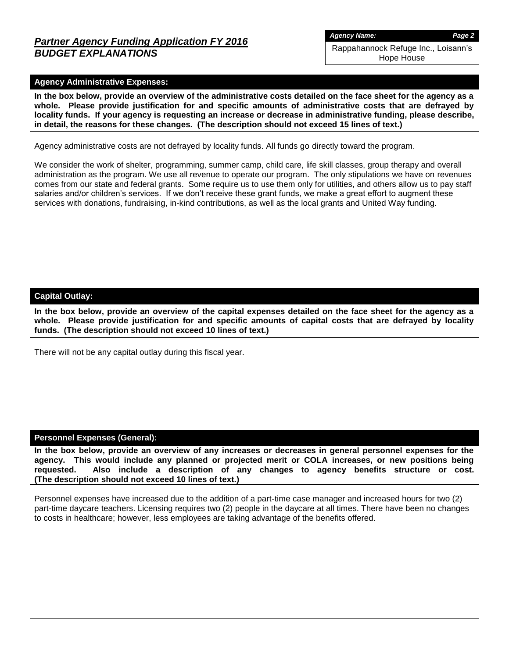## *Partner Agency Funding Application FY 2016 BUDGET EXPLANATIONS*

*Agency Name: Page 2*

Rappahannock Refuge Inc., Loisann's Hope House

#### **Agency Administrative Expenses:**

**In the box below, provide an overview of the administrative costs detailed on the face sheet for the agency as a whole. Please provide justification for and specific amounts of administrative costs that are defrayed by locality funds. If your agency is requesting an increase or decrease in administrative funding, please describe, in detail, the reasons for these changes. (The description should not exceed 15 lines of text.)**

Agency administrative costs are not defrayed by locality funds. All funds go directly toward the program.

We consider the work of shelter, programming, summer camp, child care, life skill classes, group therapy and overall administration as the program. We use all revenue to operate our program. The only stipulations we have on revenues comes from our state and federal grants. Some require us to use them only for utilities, and others allow us to pay staff salaries and/or children's services. If we don't receive these grant funds, we make a great effort to augment these services with donations, fundraising, in-kind contributions, as well as the local grants and United Way funding.

#### **Capital Outlay:**

**In the box below, provide an overview of the capital expenses detailed on the face sheet for the agency as a whole. Please provide justification for and specific amounts of capital costs that are defrayed by locality funds. (The description should not exceed 10 lines of text.)**

There will not be any capital outlay during this fiscal year.

#### **Personnel Expenses (General):**

**In the box below, provide an overview of any increases or decreases in general personnel expenses for the agency. This would include any planned or projected merit or COLA increases, or new positions being requested. Also include a description of any changes to agency benefits structure or cost. (The description should not exceed 10 lines of text.)**

Personnel expenses have increased due to the addition of a part-time case manager and increased hours for two (2) part-time daycare teachers. Licensing requires two (2) people in the daycare at all times. There have been no changes to costs in healthcare; however, less employees are taking advantage of the benefits offered.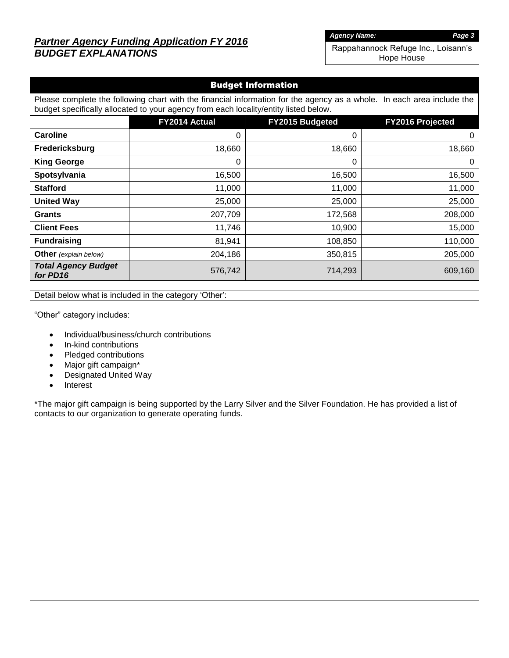# *Partner Agency Funding Application FY 2016 BUDGET EXPLANATIONS*

*Agency Name: Page 3*

Rappahannock Refuge Inc., Loisann's Hope House

#### Budget Information

Please complete the following chart with the financial information for the agency as a whole. In each area include the budget specifically allocated to your agency from each locality/entity listed below.

|                                        | FY2014 Actual | FY2015 Budgeted | FY2016 Projected |
|----------------------------------------|---------------|-----------------|------------------|
| Caroline                               | 0             | 0               | 0                |
| Fredericksburg                         | 18,660        | 18,660          | 18,660           |
| <b>King George</b>                     | 0             | 0               | 0                |
| Spotsylvania                           | 16,500        | 16,500          | 16,500           |
| <b>Stafford</b>                        | 11,000        | 11,000          | 11,000           |
| <b>United Way</b>                      | 25,000        | 25,000          | 25,000           |
| <b>Grants</b>                          | 207,709       | 172,568         | 208,000          |
| <b>Client Fees</b>                     | 11,746        | 10,900          | 15,000           |
| <b>Fundraising</b>                     | 81,941        | 108,850         | 110,000          |
| Other (explain below)                  | 204,186       | 350,815         | 205,000          |
| <b>Total Agency Budget</b><br>for PD16 | 576,742       | 714,293         | 609,160          |

Detail below what is included in the category 'Other':

"Other" category includes:

- Individual/business/church contributions
- In-kind contributions
- Pledged contributions
- Major gift campaign\*
- Designated United Way
- Interest

\*The major gift campaign is being supported by the Larry Silver and the Silver Foundation. He has provided a list of contacts to our organization to generate operating funds.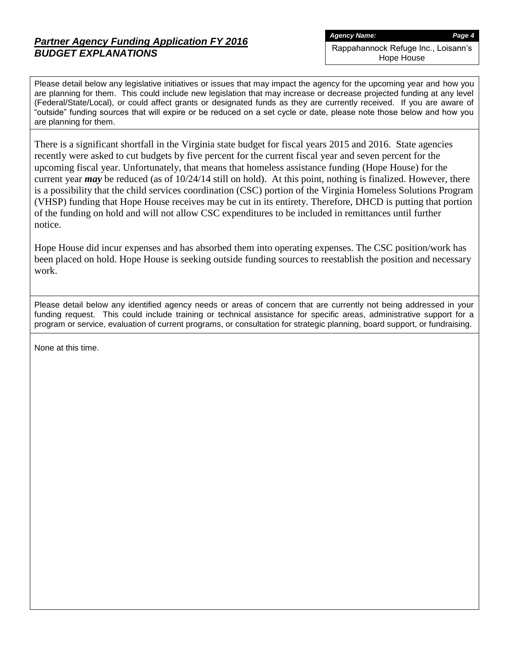# *Partner Agency Funding Application FY 2016 BUDGET EXPLANATIONS*

Hope House

Please detail below any legislative initiatives or issues that may impact the agency for the upcoming year and how you are planning for them. This could include new legislation that may increase or decrease projected funding at any level (Federal/State/Local), or could affect grants or designated funds as they are currently received. If you are aware of "outside" funding sources that will expire or be reduced on a set cycle or date, please note those below and how you are planning for them.

There is a significant shortfall in the Virginia state budget for fiscal years 2015 and 2016. State agencies recently were asked to cut budgets by five percent for the current fiscal year and seven percent for the upcoming fiscal year. Unfortunately, that means that homeless assistance funding (Hope House) for the current year *may* be reduced (as of 10/24/14 still on hold). At this point, nothing is finalized. However, there is a possibility that the child services coordination (CSC) portion of the Virginia Homeless Solutions Program (VHSP) funding that Hope House receives may be cut in its entirety. Therefore, DHCD is putting that portion of the funding on hold and will not allow CSC expenditures to be included in remittances until further notice.

Hope House did incur expenses and has absorbed them into operating expenses. The CSC position/work has been placed on hold. Hope House is seeking outside funding sources to reestablish the position and necessary work.

Please detail below any identified agency needs or areas of concern that are currently not being addressed in your funding request. This could include training or technical assistance for specific areas, administrative support for a program or service, evaluation of current programs, or consultation for strategic planning, board support, or fundraising.

None at this time.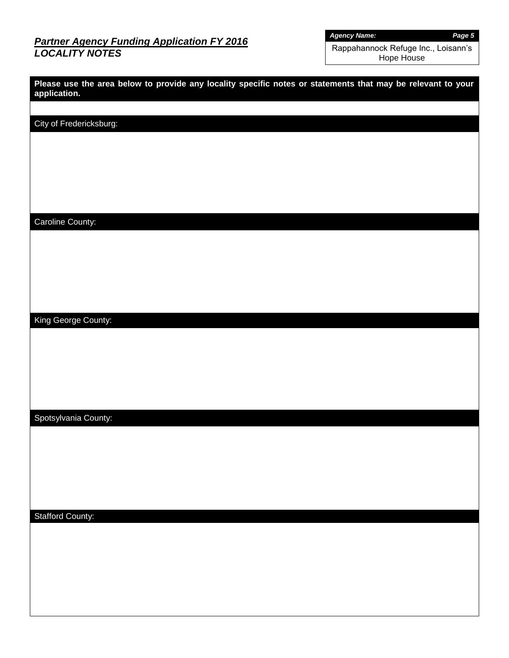## *Partner Agency Funding Application FY 2016 LOCALITY NOTES*

*Agency Name: Page 5*

Rappahannock Refuge Inc., Loisann's Hope House

| Please use the area below to provide any locality specific notes or statements that may be relevant to your<br>application. |
|-----------------------------------------------------------------------------------------------------------------------------|
|                                                                                                                             |
| City of Fredericksburg:                                                                                                     |
|                                                                                                                             |
|                                                                                                                             |
|                                                                                                                             |
|                                                                                                                             |
|                                                                                                                             |
| Caroline County:                                                                                                            |
|                                                                                                                             |
|                                                                                                                             |
|                                                                                                                             |
|                                                                                                                             |
|                                                                                                                             |
| King George County:                                                                                                         |
|                                                                                                                             |
|                                                                                                                             |
|                                                                                                                             |
|                                                                                                                             |
|                                                                                                                             |
| Spotsylvania County:                                                                                                        |
|                                                                                                                             |
|                                                                                                                             |
|                                                                                                                             |
|                                                                                                                             |
| <b>Stafford County:</b>                                                                                                     |
|                                                                                                                             |
|                                                                                                                             |
|                                                                                                                             |
|                                                                                                                             |
|                                                                                                                             |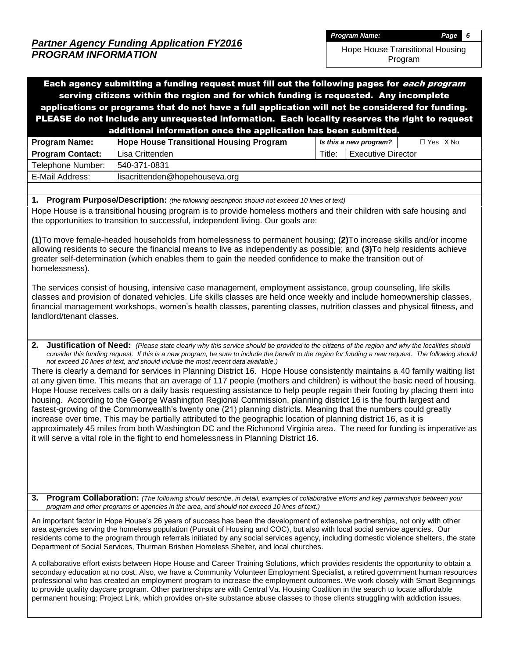Hope House Transitional Housing

Program

Each agency submitting a funding request must fill out the following pages for *each program* serving citizens within the region and for which funding is requested. Any incomplete applications or programs that do not have a full application will not be considered for funding. PLEASE do not include any unrequested information. Each locality reserves the right to request additional information once the application has been submitted. **Program Name: Hope House Transitional Housing Program** *I Is this a new program?* **| ○ Yes X No Program Contact:** Lisa Crittenden Title: Executive Director Telephone Number: | 540-371-0831 E-Mail Address: | lisacrittenden@hopehouseva.org **1. Program Purpose/Description:** *(the following description should not exceed 10 lines of text)* Hope House is a transitional housing program is to provide homeless mothers and their children with safe housing and the opportunities to transition to successful, independent living. Our goals are: **(1)**To move female-headed households from homelessness to permanent housing; **(2)**To increase skills and/or income allowing residents to secure the financial means to live as independently as possible; and **(3)**To help residents achieve greater self-determination (which enables them to gain the needed confidence to make the transition out of homelessness). The services consist of housing, intensive case management, employment assistance, group counseling, life skills classes and provision of donated vehicles. Life skills classes are held once weekly and include homeownership classes, financial management workshops, women's health classes, parenting classes, nutrition classes and physical fitness, and landlord/tenant classes. **2. Justification of Need:** *(Please state clearly why this service should be provided to the citizens of the region and why the localities should consider this funding request. If this is a new program, be sure to include the benefit to the region for funding a new request. The following should not exceed 10 lines of text, and should include the most recent data available.)* There is clearly a demand for services in Planning District 16. Hope House consistently maintains a 40 family waiting list at any given time. This means that an average of 117 people (mothers and children) is without the basic need of housing. Hope House receives calls on a daily basis requesting assistance to help people regain their footing by placing them into housing. According to the George Washington Regional Commission, planning district 16 is the fourth largest and fastest-growing of the Commonwealth's twenty one (21) planning districts. Meaning that the numbers could greatly increase over time. This may be partially attributed to the geographic location of planning district 16, as it is approximately 45 miles from both Washington DC and the Richmond Virginia area. The need for funding is imperative as it will serve a vital role in the fight to end homelessness in Planning District 16.

**3. Program Collaboration:** *(The following should describe, in detail, examples of collaborative efforts and key partnerships between your program and other programs or agencies in the area, and should not exceed 10 lines of text.)*

An important factor in Hope House's 26 years of success has been the development of extensive partnerships, not only with other area agencies serving the homeless population (Pursuit of Housing and COC), but also with local social service agencies. Our residents come to the program through referrals initiated by any social services agency, including domestic violence shelters, the state Department of Social Services, Thurman Brisben Homeless Shelter, and local churches.

A collaborative effort exists between Hope House and Career Training Solutions, which provides residents the opportunity to obtain a secondary education at no cost. Also, we have a Community Volunteer Employment Specialist, a retired government human resources professional who has created an employment program to increase the employment outcomes. We work closely with Smart Beginnings to provide quality daycare program. Other partnerships are with Central Va. Housing Coalition in the search to locate affordable permanent housing; Project Link, which provides on-site substance abuse classes to those clients struggling with addiction issues.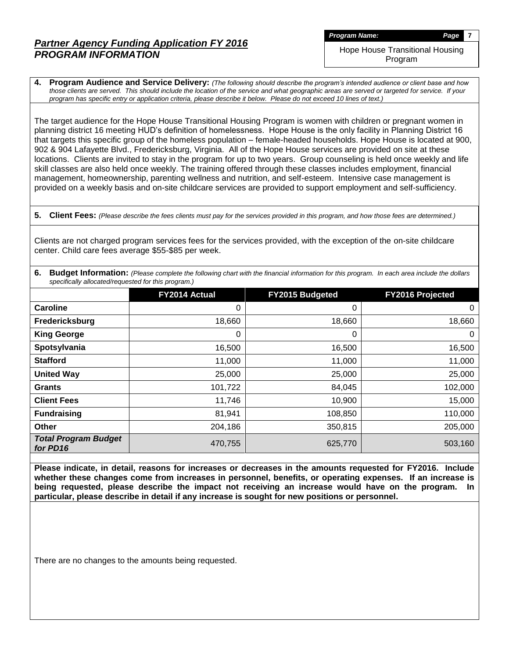Hope House Transitional Housing Program

**4. Program Audience and Service Delivery:** *(The following should describe the program's intended audience or client base and how those clients are served. This should include the location of the service and what geographic areas are served or targeted for service. If your program has specific entry or application criteria, please describe it below. Please do not exceed 10 lines of text.)*

The target audience for the Hope House Transitional Housing Program is women with children or pregnant women in planning district 16 meeting HUD's definition of homelessness. Hope House is the only facility in Planning District 16 that targets this specific group of the homeless population – female-headed households. Hope House is located at 900, 902 & 904 Lafayette Blvd., Fredericksburg, Virginia. All of the Hope House services are provided on site at these locations. Clients are invited to stay in the program for up to two years. Group counseling is held once weekly and life skill classes are also held once weekly. The training offered through these classes includes employment, financial management, homeownership, parenting wellness and nutrition, and self-esteem. Intensive case management is provided on a weekly basis and on-site childcare services are provided to support employment and self-sufficiency.

**5. Client Fees:** *(Please describe the fees clients must pay for the services provided in this program, and how those fees are determined.)*

Clients are not charged program services fees for the services provided, with the exception of the on-site childcare center. Child care fees average \$55-\$85 per week.

|                                                     | 6. Budget Information: (Please complete the following chart with the financial information for this program. In each area include the dollars |  |
|-----------------------------------------------------|-----------------------------------------------------------------------------------------------------------------------------------------------|--|
| specifically allocated/requested for this program.) |                                                                                                                                               |  |

|                                         | FY2014 Actual | FY2015 Budgeted | FY2016 Projected |
|-----------------------------------------|---------------|-----------------|------------------|
| <b>Caroline</b>                         | 0             | 0               | 0                |
| Fredericksburg                          | 18,660        | 18,660          | 18,660           |
| <b>King George</b>                      | 0             | 0               | 0                |
| Spotsylvania                            | 16,500        | 16,500          | 16,500           |
| <b>Stafford</b>                         | 11,000        | 11,000          | 11,000           |
| <b>United Way</b>                       | 25,000        | 25,000          | 25,000           |
| <b>Grants</b>                           | 101,722       | 84,045          | 102,000          |
| <b>Client Fees</b>                      | 11,746        | 10,900          | 15,000           |
| <b>Fundraising</b>                      | 81,941        | 108,850         | 110,000          |
| <b>Other</b>                            | 204,186       | 350,815         | 205,000          |
| <b>Total Program Budget</b><br>for PD16 | 470,755       | 625,770         | 503,160          |

**Please indicate, in detail, reasons for increases or decreases in the amounts requested for FY2016. Include whether these changes come from increases in personnel, benefits, or operating expenses. If an increase is being requested, please describe the impact not receiving an increase would have on the program. In particular, please describe in detail if any increase is sought for new positions or personnel.**

There are no changes to the amounts being requested.

*Program Name: Page* **7**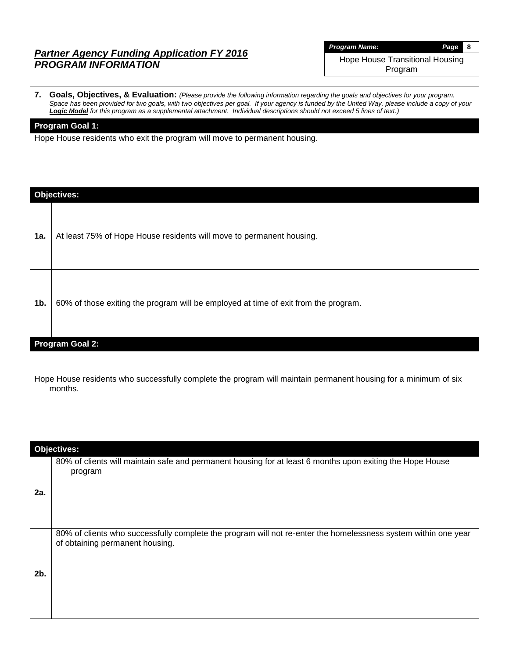| <b>Program Name:</b> |  |  |  |
|----------------------|--|--|--|
|----------------------|--|--|--|

*Program Name: Page* **8**

Hope House Transitional Housing Program

|                | 7. Goals, Objectives, & Evaluation: (Please provide the following information regarding the goals and objectives for your program.<br>Space has been provided for two goals, with two objectives per goal. If your agency is funded by the United Way, please include a copy of your<br>Logic Model for this program as a supplemental attachment. Individual descriptions should not exceed 5 lines of text.) |
|----------------|----------------------------------------------------------------------------------------------------------------------------------------------------------------------------------------------------------------------------------------------------------------------------------------------------------------------------------------------------------------------------------------------------------------|
|                | <b>Program Goal 1:</b><br>Hope House residents who exit the program will move to permanent housing.                                                                                                                                                                                                                                                                                                            |
|                | <b>Objectives:</b>                                                                                                                                                                                                                                                                                                                                                                                             |
| 1a.            | At least 75% of Hope House residents will move to permanent housing.                                                                                                                                                                                                                                                                                                                                           |
| 1 <sub>b</sub> | 60% of those exiting the program will be employed at time of exit from the program.                                                                                                                                                                                                                                                                                                                            |
|                | Program Goal 2:                                                                                                                                                                                                                                                                                                                                                                                                |
|                | Hope House residents who successfully complete the program will maintain permanent housing for a minimum of six<br>months.                                                                                                                                                                                                                                                                                     |
|                | Objectives:                                                                                                                                                                                                                                                                                                                                                                                                    |
| 2a.            | 80% of clients will maintain safe and permanent housing for at least 6 months upon exiting the Hope House<br>program                                                                                                                                                                                                                                                                                           |
| 2b.            | 80% of clients who successfully complete the program will not re-enter the homelessness system within one year<br>of obtaining permanent housing.                                                                                                                                                                                                                                                              |
|                |                                                                                                                                                                                                                                                                                                                                                                                                                |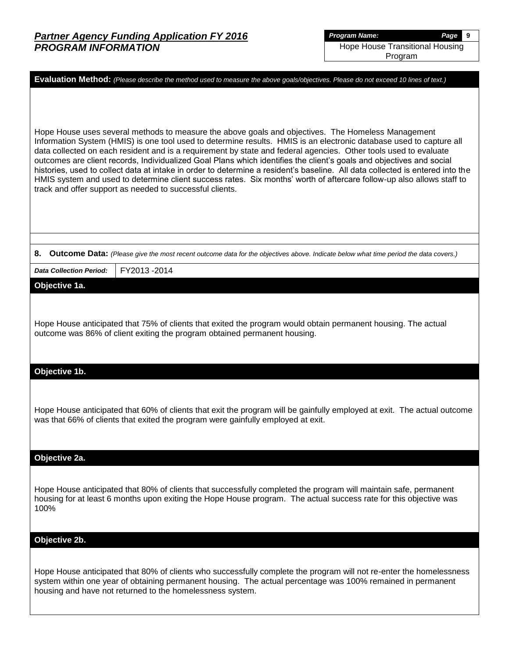| Evaluation Method: (Please describe the method used to measure the above goals/objectives. Please do not exceed 10 lines of text.)                                                                                                                                                                                                                                                                                                                                                                                                                                                                                                                                                                                                                                                          |  |  |  |  |  |  |  |  |  |
|---------------------------------------------------------------------------------------------------------------------------------------------------------------------------------------------------------------------------------------------------------------------------------------------------------------------------------------------------------------------------------------------------------------------------------------------------------------------------------------------------------------------------------------------------------------------------------------------------------------------------------------------------------------------------------------------------------------------------------------------------------------------------------------------|--|--|--|--|--|--|--|--|--|
| Hope House uses several methods to measure the above goals and objectives. The Homeless Management<br>Information System (HMIS) is one tool used to determine results. HMIS is an electronic database used to capture all<br>data collected on each resident and is a requirement by state and federal agencies. Other tools used to evaluate<br>outcomes are client records, Individualized Goal Plans which identifies the client's goals and objectives and social<br>histories, used to collect data at intake in order to determine a resident's baseline. All data collected is entered into the<br>HMIS system and used to determine client success rates. Six months' worth of aftercare follow-up also allows staff to<br>track and offer support as needed to successful clients. |  |  |  |  |  |  |  |  |  |
|                                                                                                                                                                                                                                                                                                                                                                                                                                                                                                                                                                                                                                                                                                                                                                                             |  |  |  |  |  |  |  |  |  |
| 8. Outcome Data: (Please give the most recent outcome data for the objectives above. Indicate below what time period the data covers.)                                                                                                                                                                                                                                                                                                                                                                                                                                                                                                                                                                                                                                                      |  |  |  |  |  |  |  |  |  |
| FY2013-2014<br><b>Data Collection Period:</b>                                                                                                                                                                                                                                                                                                                                                                                                                                                                                                                                                                                                                                                                                                                                               |  |  |  |  |  |  |  |  |  |
| Objective 1a.                                                                                                                                                                                                                                                                                                                                                                                                                                                                                                                                                                                                                                                                                                                                                                               |  |  |  |  |  |  |  |  |  |
| Hope House anticipated that 75% of clients that exited the program would obtain permanent housing. The actual<br>outcome was 86% of client exiting the program obtained permanent housing.                                                                                                                                                                                                                                                                                                                                                                                                                                                                                                                                                                                                  |  |  |  |  |  |  |  |  |  |
| Objective 1b.                                                                                                                                                                                                                                                                                                                                                                                                                                                                                                                                                                                                                                                                                                                                                                               |  |  |  |  |  |  |  |  |  |
| Hope House anticipated that 60% of clients that exit the program will be gainfully employed at exit. The actual outcome<br>was that 66% of clients that exited the program were gainfully employed at exit.                                                                                                                                                                                                                                                                                                                                                                                                                                                                                                                                                                                 |  |  |  |  |  |  |  |  |  |
| Objective 2a.                                                                                                                                                                                                                                                                                                                                                                                                                                                                                                                                                                                                                                                                                                                                                                               |  |  |  |  |  |  |  |  |  |
| Hope House anticipated that 80% of clients that successfully completed the program will maintain safe, permanent<br>housing for at least 6 months upon exiting the Hope House program. The actual success rate for this objective was<br>100%                                                                                                                                                                                                                                                                                                                                                                                                                                                                                                                                               |  |  |  |  |  |  |  |  |  |
| Objective 2b.                                                                                                                                                                                                                                                                                                                                                                                                                                                                                                                                                                                                                                                                                                                                                                               |  |  |  |  |  |  |  |  |  |
| Hope House anticipated that 80% of clients who successfully complete the program will not re-enter the homelessness<br>system within one year of obtaining permanent housing. The actual percentage was 100% remained in permanent<br>housing and have not returned to the homelessness system.                                                                                                                                                                                                                                                                                                                                                                                                                                                                                             |  |  |  |  |  |  |  |  |  |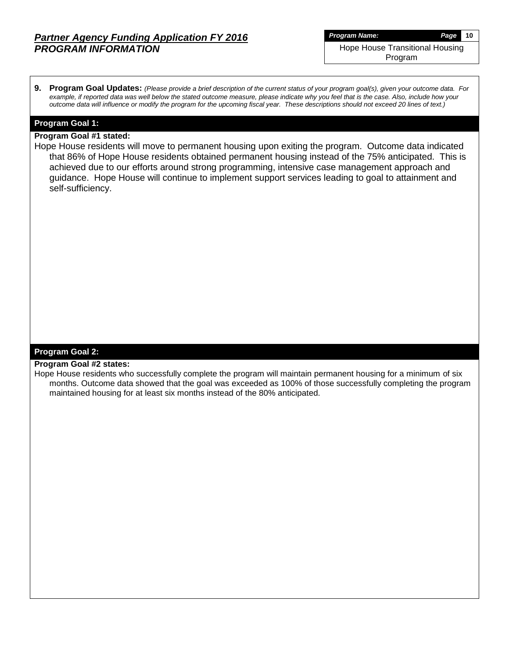**9. Program Goal Updates:** *(Please provide a brief description of the current status of your program goal(s), given your outcome data. For example, if reported data was well below the stated outcome measure, please indicate why you feel that is the case. Also, include how your outcome data will influence or modify the program for the upcoming fiscal year. These descriptions should not exceed 20 lines of text.)*

#### **Program Goal 1:**

#### **Program Goal #1 stated:**

Hope House residents will move to permanent housing upon exiting the program. Outcome data indicated that 86% of Hope House residents obtained permanent housing instead of the 75% anticipated. This is achieved due to our efforts around strong programming, intensive case management approach and guidance. Hope House will continue to implement support services leading to goal to attainment and self-sufficiency.

#### **Program Goal 2:**

#### **Program Goal #2 states:**

Hope House residents who successfully complete the program will maintain permanent housing for a minimum of six months. Outcome data showed that the goal was exceeded as 100% of those successfully completing the program maintained housing for at least six months instead of the 80% anticipated.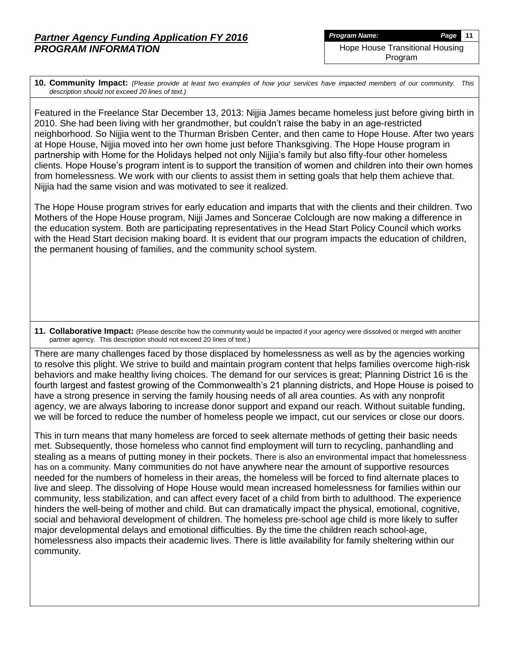**10. Community Impact:** *(Please provide at least two examples of how your services have impacted members of our community. This description should not exceed 20 lines of text.)*

Featured in the Freelance Star December 13, 2013: Nijjia James became homeless just before giving birth in 2010. She had been living with her grandmother, but couldn't raise the baby in an age-restricted neighborhood. So Nijjia went to the Thurman Brisben Center, and then came to Hope House. After two years at Hope House, Nijjia moved into her own home just before Thanksgiving. The Hope House program in partnership with Home for the Holidays helped not only Nijjia's family but also fifty-four other homeless clients. Hope House's program intent is to support the transition of women and children into their own homes from homelessness. We work with our clients to assist them in setting goals that help them achieve that. Nijjia had the same vision and was motivated to see it realized.

The Hope House program strives for early education and imparts that with the clients and their children. Two Mothers of the Hope House program, Nijji James and Soncerae Colclough are now making a difference in the education system. Both are participating representatives in the Head Start Policy Council which works with the Head Start decision making board. It is evident that our program impacts the education of children, the permanent housing of families, and the community school system.

**11. Collaborative Impact:** (Please describe how the community would be impacted if your agency were dissolved or merged with another partner agency. This description should not exceed 20 lines of text.)

There are many challenges faced by those displaced by homelessness as well as by the agencies working to resolve this plight. We strive to build and maintain program content that helps families overcome high-risk behaviors and make healthy living choices. The demand for our services is great; Planning District 16 is the fourth largest and fastest growing of the Commonwealth's 21 planning districts, and Hope House is poised to have a strong presence in serving the family housing needs of all area counties. As with any nonprofit agency, we are always laboring to increase donor support and expand our reach. Without suitable funding, we will be forced to reduce the number of homeless people we impact, cut our services or close our doors.

This in turn means that many homeless are forced to seek alternate methods of getting their basic needs met. Subsequently, those homeless who cannot find employment will turn to recycling, panhandling and stealing as a means of putting money in their pockets. There is also an environmental impact that homelessness has on a community. Many communities do not have anywhere near the amount of supportive resources needed for the numbers of homeless in their areas, the homeless will be forced to find alternate places to live and sleep. The dissolving of Hope House would mean increased homelessness for families within our community, less stabilization, and can affect every facet of a child from birth to adulthood. The experience hinders the well-being of mother and child. But can dramatically impact the physical, emotional, cognitive, social and behavioral development of children. The homeless pre-school age child is more likely to suffer major developmental delays and emotional difficulties. By the time the children reach school-age, homelessness also impacts their academic lives. There is little availability for family sheltering within our community.